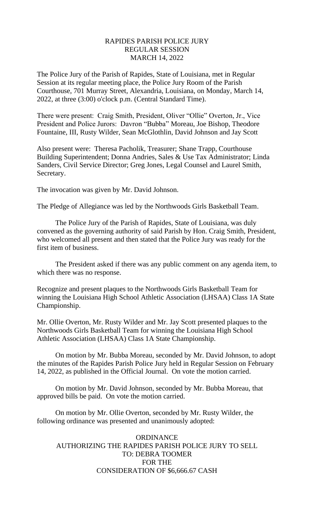## RAPIDES PARISH POLICE JURY REGULAR SESSION MARCH 14, 2022

The Police Jury of the Parish of Rapides, State of Louisiana, met in Regular Session at its regular meeting place, the Police Jury Room of the Parish Courthouse, 701 Murray Street, Alexandria, Louisiana, on Monday, March 14, 2022, at three (3:00) o'clock p.m. (Central Standard Time).

There were present: Craig Smith, President, Oliver "Ollie" Overton, Jr., Vice President and Police Jurors: Davron "Bubba" Moreau, Joe Bishop, Theodore Fountaine, III, Rusty Wilder, Sean McGlothlin, David Johnson and Jay Scott

Also present were: Theresa Pacholik, Treasurer; Shane Trapp, Courthouse Building Superintendent; Donna Andries, Sales & Use Tax Administrator; Linda Sanders, Civil Service Director; Greg Jones, Legal Counsel and Laurel Smith, Secretary.

The invocation was given by Mr. David Johnson.

The Pledge of Allegiance was led by the Northwoods Girls Basketball Team.

The Police Jury of the Parish of Rapides, State of Louisiana, was duly convened as the governing authority of said Parish by Hon. Craig Smith, President, who welcomed all present and then stated that the Police Jury was ready for the first item of business.

The President asked if there was any public comment on any agenda item, to which there was no response.

Recognize and present plaques to the Northwoods Girls Basketball Team for winning the Louisiana High School Athletic Association (LHSAA) Class 1A State Championship.

Mr. Ollie Overton, Mr. Rusty Wilder and Mr. Jay Scott presented plaques to the Northwoods Girls Basketball Team for winning the Louisiana High School Athletic Association (LHSAA) Class 1A State Championship.

On motion by Mr. Bubba Moreau, seconded by Mr. David Johnson, to adopt the minutes of the Rapides Parish Police Jury held in Regular Session on February 14, 2022, as published in the Official Journal. On vote the motion carried.

On motion by Mr. David Johnson, seconded by Mr. Bubba Moreau, that approved bills be paid. On vote the motion carried.

On motion by Mr. Ollie Overton, seconded by Mr. Rusty Wilder, the following ordinance was presented and unanimously adopted:

# ORDINANCE AUTHORIZING THE RAPIDES PARISH POLICE JURY TO SELL TO: DEBRA TOOMER FOR THE CONSIDERATION OF \$6,666.67 CASH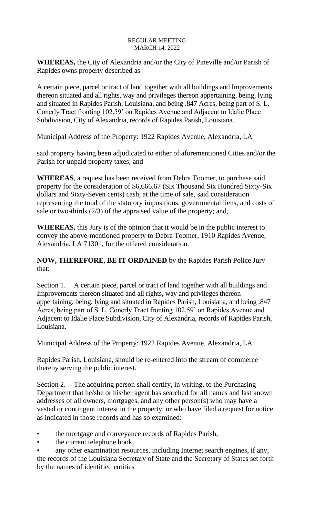**WHEREAS,** the City of Alexandria and/or the City of Pineville and/or Parish of Rapides owns property described as

A certain piece, parcel or tract of land together with all buildings and Improvements thereon situated and all rights, way and privileges thereon appertaining, being, lying and situated in Rapides Parish, Louisiana, and being .847 Acres, being part of S. L. Conerly Tract fronting 102.59' on Rapides Avenue and Adjacent to Idalie Place Subdivision, City of Alexandria, records of Rapides Parish, Louisiana.

Municipal Address of the Property: 1922 Rapides Avenue, Alexandria, LA

said property having been adjudicated to either of aforementioned Cities and/or the Parish for unpaid property taxes; and

**WHEREAS**, a request has been received from Debra Toomer, to purchase said property for the consideration of \$6,666.67 (Six Thousand Six Hundred Sixty-Six dollars and Sixty-Seven cents) cash, at the time of sale, said consideration representing the total of the statutory impositions, governmental liens, and costs of sale or two-thirds (2/3) of the appraised value of the property; and,

**WHEREAS,** this Jury is of the opinion that it would be in the public interest to convey the above-mentioned property to Debra Toomer, 1910 Rapides Avenue, Alexandria, LA 71301, for the offered consideration.

**NOW, THEREFORE, BE IT ORDAINED** by the Rapides Parish Police Jury that:

Section 1. A certain piece, parcel or tract of land together with all buildings and Improvements thereon situated and all rights, way and privileges thereon appertaining, being, lying and situated in Rapides Parish, Louisiana, and being .847 Acres, being part of S. L. Conerly Tract fronting 102.59' on Rapides Avenue and Adjacent to Idalie Place Subdivision, City of Alexandria, records of Rapides Parish, Louisiana.

Municipal Address of the Property: 1922 Rapides Avenue, Alexandria, LA

Rapides Parish, Louisiana, should be re-entered into the stream of commerce thereby serving the public interest.

Section 2. The acquiring person shall certify, in writing, to the Purchasing Department that he/she or his/her agent has searched for all names and last known addresses of all owners, mortgages, and any other person(s) who may have a vested or contingent interest in the property, or who have filed a request for notice as indicated in those records and has so examined:

- the mortgage and conveyance records of Rapides Parish,
- the current telephone book,
- any other examination resources, including Internet search engines, if any, the records of the Louisiana Secretary of State and the Secretary of States set forth by the names of identified entities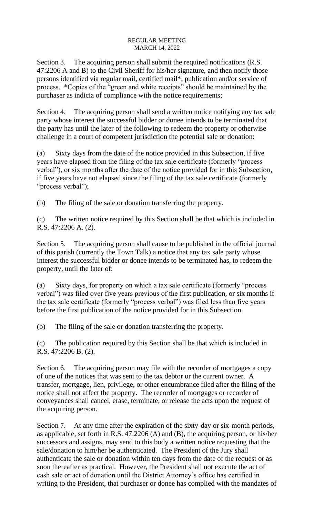Section 3. The acquiring person shall submit the required notifications (R.S. 47:2206 A and B) to the Civil Sheriff for his/her signature, and then notify those persons identified via regular mail, certified mail\*, publication and/or service of process. \*Copies of the "green and white receipts" should be maintained by the purchaser as indicia of compliance with the notice requirements;

Section 4. The acquiring person shall send a written notice notifying any tax sale party whose interest the successful bidder or donee intends to be terminated that the party has until the later of the following to redeem the property or otherwise challenge in a court of competent jurisdiction the potential sale or donation:

(a) Sixty days from the date of the notice provided in this Subsection, if five years have elapsed from the filing of the tax sale certificate (formerly "process verbal"), or six months after the date of the notice provided for in this Subsection, if five years have not elapsed since the filing of the tax sale certificate (formerly "process verbal");

(b) The filing of the sale or donation transferring the property.

(c) The written notice required by this Section shall be that which is included in R.S. 47:2206 A. (2).

Section 5. The acquiring person shall cause to be published in the official journal of this parish (currently the Town Talk) a notice that any tax sale party whose interest the successful bidder or donee intends to be terminated has, to redeem the property, until the later of:

(a) Sixty days, for property on which a tax sale certificate (formerly "process verbal") was filed over five years previous of the first publication, or six months if the tax sale certificate (formerly "process verbal") was filed less than five years before the first publication of the notice provided for in this Subsection.

(b) The filing of the sale or donation transferring the property.

(c) The publication required by this Section shall be that which is included in R.S. 47:2206 B. (2).

Section 6. The acquiring person may file with the recorder of mortgages a copy of one of the notices that was sent to the tax debtor or the current owner. A transfer, mortgage, lien, privilege, or other encumbrance filed after the filing of the notice shall not affect the property. The recorder of mortgages or recorder of conveyances shall cancel, erase, terminate, or release the acts upon the request of the acquiring person.

Section 7. At any time after the expiration of the sixty-day or six-month periods, as applicable, set forth in R.S. 47:2206 (A) and (B), the acquiring person, or his/her successors and assigns, may send to this body a written notice requesting that the sale/donation to him/her be authenticated. The President of the Jury shall authenticate the sale or donation within ten days from the date of the request or as soon thereafter as practical. However, the President shall not execute the act of cash sale or act of donation until the District Attorney's office has certified in writing to the President, that purchaser or donee has complied with the mandates of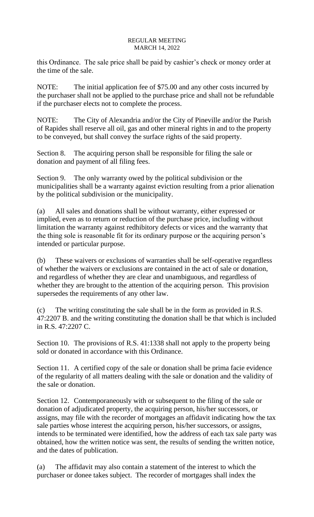this Ordinance. The sale price shall be paid by cashier's check or money order at the time of the sale.

NOTE: The initial application fee of \$75.00 and any other costs incurred by the purchaser shall not be applied to the purchase price and shall not be refundable if the purchaser elects not to complete the process.

NOTE: The City of Alexandria and/or the City of Pineville and/or the Parish of Rapides shall reserve all oil, gas and other mineral rights in and to the property to be conveyed, but shall convey the surface rights of the said property.

Section 8. The acquiring person shall be responsible for filing the sale or donation and payment of all filing fees.

Section 9. The only warranty owed by the political subdivision or the municipalities shall be a warranty against eviction resulting from a prior alienation by the political subdivision or the municipality.

(a) All sales and donations shall be without warranty, either expressed or implied, even as to return or reduction of the purchase price, including without limitation the warranty against redhibitory defects or vices and the warranty that the thing sole is reasonable fit for its ordinary purpose or the acquiring person's intended or particular purpose.

(b) These waivers or exclusions of warranties shall be self-operative regardless of whether the waivers or exclusions are contained in the act of sale or donation, and regardless of whether they are clear and unambiguous, and regardless of whether they are brought to the attention of the acquiring person. This provision supersedes the requirements of any other law.

(c) The writing constituting the sale shall be in the form as provided in R.S. 47:2207 B. and the writing constituting the donation shall be that which is included in R.S. 47:2207 C.

Section 10. The provisions of R.S. 41:1338 shall not apply to the property being sold or donated in accordance with this Ordinance.

Section 11. A certified copy of the sale or donation shall be prima facie evidence of the regularity of all matters dealing with the sale or donation and the validity of the sale or donation.

Section 12. Contemporaneously with or subsequent to the filing of the sale or donation of adjudicated property, the acquiring person, his/her successors, or assigns, may file with the recorder of mortgages an affidavit indicating how the tax sale parties whose interest the acquiring person, his/her successors, or assigns, intends to be terminated were identified, how the address of each tax sale party was obtained, how the written notice was sent, the results of sending the written notice, and the dates of publication.

(a) The affidavit may also contain a statement of the interest to which the purchaser or donee takes subject. The recorder of mortgages shall index the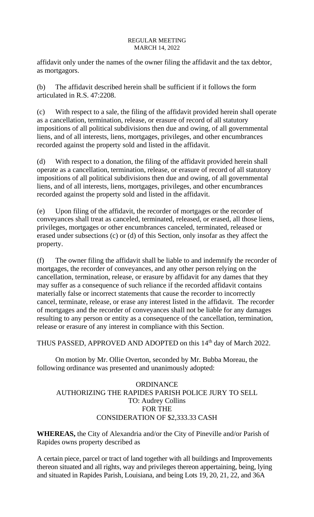affidavit only under the names of the owner filing the affidavit and the tax debtor, as mortgagors.

(b) The affidavit described herein shall be sufficient if it follows the form articulated in R.S. 47:2208.

(c) With respect to a sale, the filing of the affidavit provided herein shall operate as a cancellation, termination, release, or erasure of record of all statutory impositions of all political subdivisions then due and owing, of all governmental liens, and of all interests, liens, mortgages, privileges, and other encumbrances recorded against the property sold and listed in the affidavit.

(d) With respect to a donation, the filing of the affidavit provided herein shall operate as a cancellation, termination, release, or erasure of record of all statutory impositions of all political subdivisions then due and owing, of all governmental liens, and of all interests, liens, mortgages, privileges, and other encumbrances recorded against the property sold and listed in the affidavit.

(e) Upon filing of the affidavit, the recorder of mortgages or the recorder of conveyances shall treat as canceled, terminated, released, or erased, all those liens, privileges, mortgages or other encumbrances canceled, terminated, released or erased under subsections (c) or (d) of this Section, only insofar as they affect the property.

(f) The owner filing the affidavit shall be liable to and indemnify the recorder of mortgages, the recorder of conveyances, and any other person relying on the cancellation, termination, release, or erasure by affidavit for any dames that they may suffer as a consequence of such reliance if the recorded affidavit contains materially false or incorrect statements that cause the recorder to incorrectly cancel, terminate, release, or erase any interest listed in the affidavit. The recorder of mortgages and the recorder of conveyances shall not be liable for any damages resulting to any person or entity as a consequence of the cancellation, termination, release or erasure of any interest in compliance with this Section.

THUS PASSED, APPROVED AND ADOPTED on this 14<sup>th</sup> day of March 2022.

On motion by Mr. Ollie Overton, seconded by Mr. Bubba Moreau, the following ordinance was presented and unanimously adopted:

# **ORDINANCE** AUTHORIZING THE RAPIDES PARISH POLICE JURY TO SELL TO: Audrey Collins FOR THE CONSIDERATION OF \$2,333.33 CASH

**WHEREAS,** the City of Alexandria and/or the City of Pineville and/or Parish of Rapides owns property described as

A certain piece, parcel or tract of land together with all buildings and Improvements thereon situated and all rights, way and privileges thereon appertaining, being, lying and situated in Rapides Parish, Louisiana, and being Lots 19, 20, 21, 22, and 36A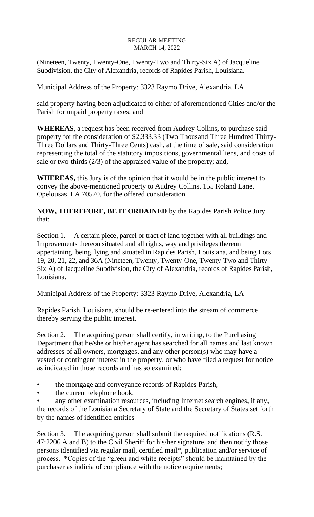(Nineteen, Twenty, Twenty-One, Twenty-Two and Thirty-Six A) of Jacqueline Subdivision, the City of Alexandria, records of Rapides Parish, Louisiana.

Municipal Address of the Property: 3323 Raymo Drive, Alexandria, LA

said property having been adjudicated to either of aforementioned Cities and/or the Parish for unpaid property taxes; and

**WHEREAS**, a request has been received from Audrey Collins, to purchase said property for the consideration of \$2,333.33 (Two Thousand Three Hundred Thirty-Three Dollars and Thirty-Three Cents) cash, at the time of sale, said consideration representing the total of the statutory impositions, governmental liens, and costs of sale or two-thirds (2/3) of the appraised value of the property; and,

**WHEREAS,** this Jury is of the opinion that it would be in the public interest to convey the above-mentioned property to Audrey Collins, 155 Roland Lane, Opelousas, LA 70570, for the offered consideration.

**NOW, THEREFORE, BE IT ORDAINED** by the Rapides Parish Police Jury that:

Section 1. A certain piece, parcel or tract of land together with all buildings and Improvements thereon situated and all rights, way and privileges thereon appertaining, being, lying and situated in Rapides Parish, Louisiana, and being Lots 19, 20, 21, 22, and 36A (Nineteen, Twenty, Twenty-One, Twenty-Two and Thirty-Six A) of Jacqueline Subdivision, the City of Alexandria, records of Rapides Parish, Louisiana.

Municipal Address of the Property: 3323 Raymo Drive, Alexandria, LA

Rapides Parish, Louisiana, should be re-entered into the stream of commerce thereby serving the public interest.

Section 2. The acquiring person shall certify, in writing, to the Purchasing Department that he/she or his/her agent has searched for all names and last known addresses of all owners, mortgages, and any other person(s) who may have a vested or contingent interest in the property, or who have filed a request for notice as indicated in those records and has so examined:

- the mortgage and conveyance records of Rapides Parish,
- the current telephone book,

any other examination resources, including Internet search engines, if any, the records of the Louisiana Secretary of State and the Secretary of States set forth by the names of identified entities

Section 3. The acquiring person shall submit the required notifications (R.S. 47:2206 A and B) to the Civil Sheriff for his/her signature, and then notify those persons identified via regular mail, certified mail\*, publication and/or service of process. \*Copies of the "green and white receipts" should be maintained by the purchaser as indicia of compliance with the notice requirements;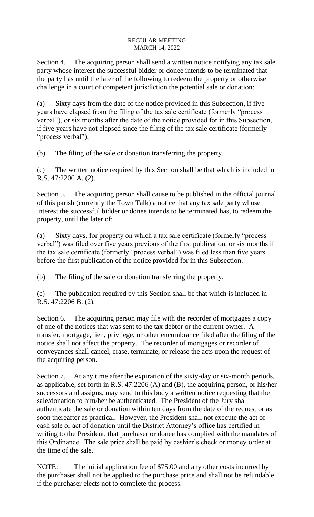Section 4. The acquiring person shall send a written notice notifying any tax sale party whose interest the successful bidder or donee intends to be terminated that the party has until the later of the following to redeem the property or otherwise challenge in a court of competent jurisdiction the potential sale or donation:

(a) Sixty days from the date of the notice provided in this Subsection, if five years have elapsed from the filing of the tax sale certificate (formerly "process verbal"), or six months after the date of the notice provided for in this Subsection, if five years have not elapsed since the filing of the tax sale certificate (formerly "process verbal");

(b) The filing of the sale or donation transferring the property.

(c) The written notice required by this Section shall be that which is included in R.S. 47:2206 A. (2).

Section 5. The acquiring person shall cause to be published in the official journal of this parish (currently the Town Talk) a notice that any tax sale party whose interest the successful bidder or donee intends to be terminated has, to redeem the property, until the later of:

(a) Sixty days, for property on which a tax sale certificate (formerly "process verbal") was filed over five years previous of the first publication, or six months if the tax sale certificate (formerly "process verbal") was filed less than five years before the first publication of the notice provided for in this Subsection.

(b) The filing of the sale or donation transferring the property.

(c) The publication required by this Section shall be that which is included in R.S. 47:2206 B. (2).

Section 6. The acquiring person may file with the recorder of mortgages a copy of one of the notices that was sent to the tax debtor or the current owner. A transfer, mortgage, lien, privilege, or other encumbrance filed after the filing of the notice shall not affect the property. The recorder of mortgages or recorder of conveyances shall cancel, erase, terminate, or release the acts upon the request of the acquiring person.

Section 7. At any time after the expiration of the sixty-day or six-month periods, as applicable, set forth in R.S. 47:2206 (A) and (B), the acquiring person, or his/her successors and assigns, may send to this body a written notice requesting that the sale/donation to him/her be authenticated. The President of the Jury shall authenticate the sale or donation within ten days from the date of the request or as soon thereafter as practical. However, the President shall not execute the act of cash sale or act of donation until the District Attorney's office has certified in writing to the President, that purchaser or donee has complied with the mandates of this Ordinance. The sale price shall be paid by cashier's check or money order at the time of the sale.

NOTE: The initial application fee of \$75.00 and any other costs incurred by the purchaser shall not be applied to the purchase price and shall not be refundable if the purchaser elects not to complete the process.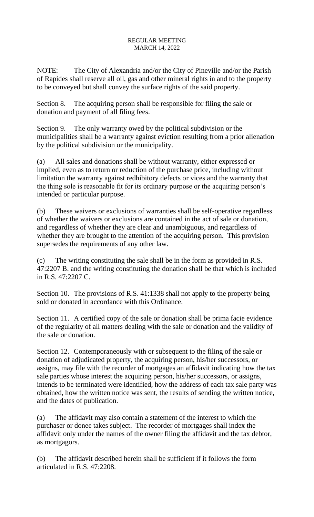NOTE: The City of Alexandria and/or the City of Pineville and/or the Parish of Rapides shall reserve all oil, gas and other mineral rights in and to the property to be conveyed but shall convey the surface rights of the said property.

Section 8. The acquiring person shall be responsible for filing the sale or donation and payment of all filing fees.

Section 9. The only warranty owed by the political subdivision or the municipalities shall be a warranty against eviction resulting from a prior alienation by the political subdivision or the municipality.

(a) All sales and donations shall be without warranty, either expressed or implied, even as to return or reduction of the purchase price, including without limitation the warranty against redhibitory defects or vices and the warranty that the thing sole is reasonable fit for its ordinary purpose or the acquiring person's intended or particular purpose.

(b) These waivers or exclusions of warranties shall be self-operative regardless of whether the waivers or exclusions are contained in the act of sale or donation, and regardless of whether they are clear and unambiguous, and regardless of whether they are brought to the attention of the acquiring person. This provision supersedes the requirements of any other law.

(c) The writing constituting the sale shall be in the form as provided in R.S. 47:2207 B. and the writing constituting the donation shall be that which is included in R.S. 47:2207 C.

Section 10. The provisions of R.S. 41:1338 shall not apply to the property being sold or donated in accordance with this Ordinance.

Section 11. A certified copy of the sale or donation shall be prima facie evidence of the regularity of all matters dealing with the sale or donation and the validity of the sale or donation.

Section 12. Contemporaneously with or subsequent to the filing of the sale or donation of adjudicated property, the acquiring person, his/her successors, or assigns, may file with the recorder of mortgages an affidavit indicating how the tax sale parties whose interest the acquiring person, his/her successors, or assigns, intends to be terminated were identified, how the address of each tax sale party was obtained, how the written notice was sent, the results of sending the written notice, and the dates of publication.

(a) The affidavit may also contain a statement of the interest to which the purchaser or donee takes subject. The recorder of mortgages shall index the affidavit only under the names of the owner filing the affidavit and the tax debtor, as mortgagors.

(b) The affidavit described herein shall be sufficient if it follows the form articulated in R.S. 47:2208.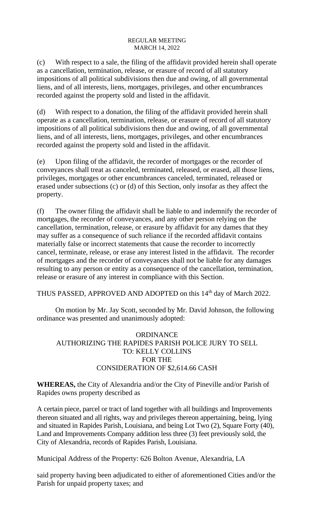(c) With respect to a sale, the filing of the affidavit provided herein shall operate as a cancellation, termination, release, or erasure of record of all statutory impositions of all political subdivisions then due and owing, of all governmental liens, and of all interests, liens, mortgages, privileges, and other encumbrances recorded against the property sold and listed in the affidavit.

(d) With respect to a donation, the filing of the affidavit provided herein shall operate as a cancellation, termination, release, or erasure of record of all statutory impositions of all political subdivisions then due and owing, of all governmental liens, and of all interests, liens, mortgages, privileges, and other encumbrances recorded against the property sold and listed in the affidavit.

(e) Upon filing of the affidavit, the recorder of mortgages or the recorder of conveyances shall treat as canceled, terminated, released, or erased, all those liens, privileges, mortgages or other encumbrances canceled, terminated, released or erased under subsections (c) or (d) of this Section, only insofar as they affect the property.

(f) The owner filing the affidavit shall be liable to and indemnify the recorder of mortgages, the recorder of conveyances, and any other person relying on the cancellation, termination, release, or erasure by affidavit for any dames that they may suffer as a consequence of such reliance if the recorded affidavit contains materially false or incorrect statements that cause the recorder to incorrectly cancel, terminate, release, or erase any interest listed in the affidavit. The recorder of mortgages and the recorder of conveyances shall not be liable for any damages resulting to any person or entity as a consequence of the cancellation, termination, release or erasure of any interest in compliance with this Section.

THUS PASSED, APPROVED AND ADOPTED on this 14<sup>th</sup> day of March 2022.

On motion by Mr. Jay Scott, seconded by Mr. David Johnson, the following ordinance was presented and unanimously adopted:

# ORDINANCE AUTHORIZING THE RAPIDES PARISH POLICE JURY TO SELL TO: KELLY COLLINS FOR THE CONSIDERATION OF \$2,614.66 CASH

**WHEREAS,** the City of Alexandria and/or the City of Pineville and/or Parish of Rapides owns property described as

A certain piece, parcel or tract of land together with all buildings and Improvements thereon situated and all rights, way and privileges thereon appertaining, being, lying and situated in Rapides Parish, Louisiana, and being Lot Two (2), Square Forty (40), Land and Improvements Company addition less three (3) feet previously sold, the City of Alexandria, records of Rapides Parish, Louisiana.

Municipal Address of the Property: 626 Bolton Avenue, Alexandria, LA

said property having been adjudicated to either of aforementioned Cities and/or the Parish for unpaid property taxes; and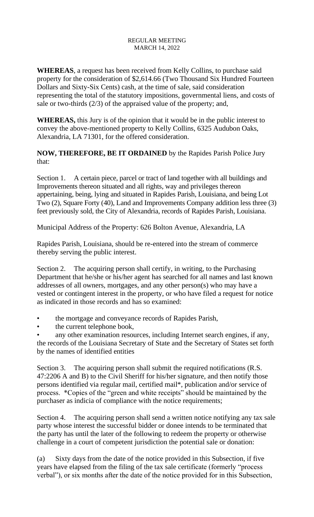**WHEREAS**, a request has been received from Kelly Collins, to purchase said property for the consideration of \$2,614.66 (Two Thousand Six Hundred Fourteen Dollars and Sixty-Six Cents) cash, at the time of sale, said consideration representing the total of the statutory impositions, governmental liens, and costs of sale or two-thirds (2/3) of the appraised value of the property; and,

**WHEREAS,** this Jury is of the opinion that it would be in the public interest to convey the above-mentioned property to Kelly Collins, 6325 Audubon Oaks, Alexandria, LA 71301, for the offered consideration.

**NOW, THEREFORE, BE IT ORDAINED** by the Rapides Parish Police Jury that:

Section 1. A certain piece, parcel or tract of land together with all buildings and Improvements thereon situated and all rights, way and privileges thereon appertaining, being, lying and situated in Rapides Parish, Louisiana, and being Lot Two (2), Square Forty (40), Land and Improvements Company addition less three (3) feet previously sold, the City of Alexandria, records of Rapides Parish, Louisiana.

Municipal Address of the Property: 626 Bolton Avenue, Alexandria, LA

Rapides Parish, Louisiana, should be re-entered into the stream of commerce thereby serving the public interest.

Section 2. The acquiring person shall certify, in writing, to the Purchasing Department that he/she or his/her agent has searched for all names and last known addresses of all owners, mortgages, and any other person(s) who may have a vested or contingent interest in the property, or who have filed a request for notice as indicated in those records and has so examined:

- the mortgage and conveyance records of Rapides Parish,
- the current telephone book,

any other examination resources, including Internet search engines, if any, the records of the Louisiana Secretary of State and the Secretary of States set forth by the names of identified entities

Section 3. The acquiring person shall submit the required notifications (R.S. 47:2206 A and B) to the Civil Sheriff for his/her signature, and then notify those persons identified via regular mail, certified mail\*, publication and/or service of process. \*Copies of the "green and white receipts" should be maintained by the purchaser as indicia of compliance with the notice requirements;

Section 4. The acquiring person shall send a written notice notifying any tax sale party whose interest the successful bidder or donee intends to be terminated that the party has until the later of the following to redeem the property or otherwise challenge in a court of competent jurisdiction the potential sale or donation:

(a) Sixty days from the date of the notice provided in this Subsection, if five years have elapsed from the filing of the tax sale certificate (formerly "process verbal"), or six months after the date of the notice provided for in this Subsection,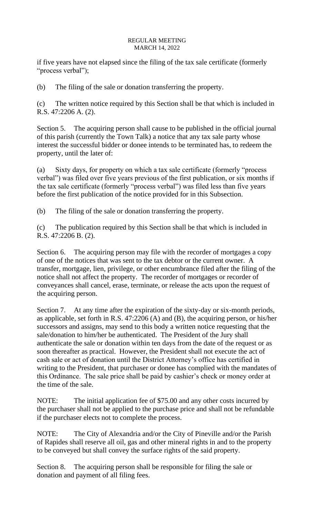if five years have not elapsed since the filing of the tax sale certificate (formerly "process verbal");

(b) The filing of the sale or donation transferring the property.

(c) The written notice required by this Section shall be that which is included in R.S. 47:2206 A. (2).

Section 5. The acquiring person shall cause to be published in the official journal of this parish (currently the Town Talk) a notice that any tax sale party whose interest the successful bidder or donee intends to be terminated has, to redeem the property, until the later of:

(a) Sixty days, for property on which a tax sale certificate (formerly "process verbal") was filed over five years previous of the first publication, or six months if the tax sale certificate (formerly "process verbal") was filed less than five years before the first publication of the notice provided for in this Subsection.

(b) The filing of the sale or donation transferring the property.

(c) The publication required by this Section shall be that which is included in R.S. 47:2206 B. (2).

Section 6. The acquiring person may file with the recorder of mortgages a copy of one of the notices that was sent to the tax debtor or the current owner. A transfer, mortgage, lien, privilege, or other encumbrance filed after the filing of the notice shall not affect the property. The recorder of mortgages or recorder of conveyances shall cancel, erase, terminate, or release the acts upon the request of the acquiring person.

Section 7. At any time after the expiration of the sixty-day or six-month periods, as applicable, set forth in R.S. 47:2206 (A) and (B), the acquiring person, or his/her successors and assigns, may send to this body a written notice requesting that the sale/donation to him/her be authenticated. The President of the Jury shall authenticate the sale or donation within ten days from the date of the request or as soon thereafter as practical. However, the President shall not execute the act of cash sale or act of donation until the District Attorney's office has certified in writing to the President, that purchaser or donee has complied with the mandates of this Ordinance. The sale price shall be paid by cashier's check or money order at the time of the sale.

NOTE: The initial application fee of \$75.00 and any other costs incurred by the purchaser shall not be applied to the purchase price and shall not be refundable if the purchaser elects not to complete the process.

NOTE: The City of Alexandria and/or the City of Pineville and/or the Parish of Rapides shall reserve all oil, gas and other mineral rights in and to the property to be conveyed but shall convey the surface rights of the said property.

Section 8. The acquiring person shall be responsible for filing the sale or donation and payment of all filing fees.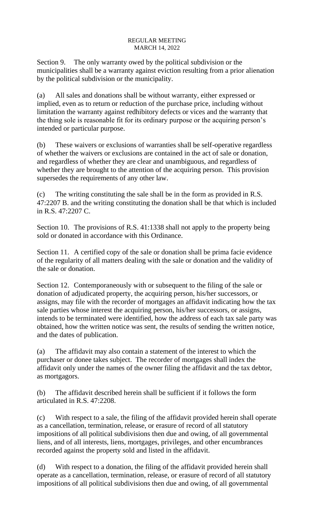Section 9. The only warranty owed by the political subdivision or the municipalities shall be a warranty against eviction resulting from a prior alienation by the political subdivision or the municipality.

(a) All sales and donations shall be without warranty, either expressed or implied, even as to return or reduction of the purchase price, including without limitation the warranty against redhibitory defects or vices and the warranty that the thing sole is reasonable fit for its ordinary purpose or the acquiring person's intended or particular purpose.

(b) These waivers or exclusions of warranties shall be self-operative regardless of whether the waivers or exclusions are contained in the act of sale or donation, and regardless of whether they are clear and unambiguous, and regardless of whether they are brought to the attention of the acquiring person. This provision supersedes the requirements of any other law.

(c) The writing constituting the sale shall be in the form as provided in R.S. 47:2207 B. and the writing constituting the donation shall be that which is included in R.S. 47:2207 C.

Section 10. The provisions of R.S. 41:1338 shall not apply to the property being sold or donated in accordance with this Ordinance.

Section 11. A certified copy of the sale or donation shall be prima facie evidence of the regularity of all matters dealing with the sale or donation and the validity of the sale or donation.

Section 12. Contemporaneously with or subsequent to the filing of the sale or donation of adjudicated property, the acquiring person, his/her successors, or assigns, may file with the recorder of mortgages an affidavit indicating how the tax sale parties whose interest the acquiring person, his/her successors, or assigns, intends to be terminated were identified, how the address of each tax sale party was obtained, how the written notice was sent, the results of sending the written notice, and the dates of publication.

(a) The affidavit may also contain a statement of the interest to which the purchaser or donee takes subject. The recorder of mortgages shall index the affidavit only under the names of the owner filing the affidavit and the tax debtor, as mortgagors.

(b) The affidavit described herein shall be sufficient if it follows the form articulated in R.S. 47:2208.

(c) With respect to a sale, the filing of the affidavit provided herein shall operate as a cancellation, termination, release, or erasure of record of all statutory impositions of all political subdivisions then due and owing, of all governmental liens, and of all interests, liens, mortgages, privileges, and other encumbrances recorded against the property sold and listed in the affidavit.

(d) With respect to a donation, the filing of the affidavit provided herein shall operate as a cancellation, termination, release, or erasure of record of all statutory impositions of all political subdivisions then due and owing, of all governmental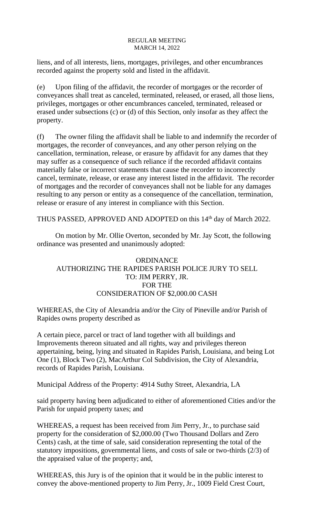liens, and of all interests, liens, mortgages, privileges, and other encumbrances recorded against the property sold and listed in the affidavit.

(e) Upon filing of the affidavit, the recorder of mortgages or the recorder of conveyances shall treat as canceled, terminated, released, or erased, all those liens, privileges, mortgages or other encumbrances canceled, terminated, released or erased under subsections (c) or (d) of this Section, only insofar as they affect the property.

(f) The owner filing the affidavit shall be liable to and indemnify the recorder of mortgages, the recorder of conveyances, and any other person relying on the cancellation, termination, release, or erasure by affidavit for any dames that they may suffer as a consequence of such reliance if the recorded affidavit contains materially false or incorrect statements that cause the recorder to incorrectly cancel, terminate, release, or erase any interest listed in the affidavit. The recorder of mortgages and the recorder of conveyances shall not be liable for any damages resulting to any person or entity as a consequence of the cancellation, termination, release or erasure of any interest in compliance with this Section.

THUS PASSED, APPROVED AND ADOPTED on this 14<sup>th</sup> day of March 2022.

On motion by Mr. Ollie Overton, seconded by Mr. Jay Scott, the following ordinance was presented and unanimously adopted:

# **ORDINANCE** AUTHORIZING THE RAPIDES PARISH POLICE JURY TO SELL TO: JIM PERRY, JR. FOR THE CONSIDERATION OF \$2,000.00 CASH

WHEREAS, the City of Alexandria and/or the City of Pineville and/or Parish of Rapides owns property described as

A certain piece, parcel or tract of land together with all buildings and Improvements thereon situated and all rights, way and privileges thereon appertaining, being, lying and situated in Rapides Parish, Louisiana, and being Lot One (1), Block Two (2), MacArthur Col Subdivision, the City of Alexandria, records of Rapides Parish, Louisiana.

Municipal Address of the Property: 4914 Suthy Street, Alexandria, LA

said property having been adjudicated to either of aforementioned Cities and/or the Parish for unpaid property taxes; and

WHEREAS, a request has been received from Jim Perry, Jr., to purchase said property for the consideration of \$2,000.00 (Two Thousand Dollars and Zero Cents) cash, at the time of sale, said consideration representing the total of the statutory impositions, governmental liens, and costs of sale or two-thirds (2/3) of the appraised value of the property; and,

WHEREAS, this Jury is of the opinion that it would be in the public interest to convey the above-mentioned property to Jim Perry, Jr., 1009 Field Crest Court,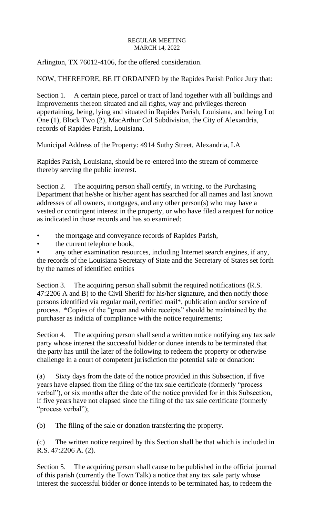Arlington, TX 76012-4106, for the offered consideration.

NOW, THEREFORE, BE IT ORDAINED by the Rapides Parish Police Jury that:

Section 1. A certain piece, parcel or tract of land together with all buildings and Improvements thereon situated and all rights, way and privileges thereon appertaining, being, lying and situated in Rapides Parish, Louisiana, and being Lot One (1), Block Two (2), MacArthur Col Subdivision, the City of Alexandria, records of Rapides Parish, Louisiana.

Municipal Address of the Property: 4914 Suthy Street, Alexandria, LA

Rapides Parish, Louisiana, should be re-entered into the stream of commerce thereby serving the public interest.

Section 2. The acquiring person shall certify, in writing, to the Purchasing Department that he/she or his/her agent has searched for all names and last known addresses of all owners, mortgages, and any other person(s) who may have a vested or contingent interest in the property, or who have filed a request for notice as indicated in those records and has so examined:

• the mortgage and conveyance records of Rapides Parish,

• the current telephone book,

any other examination resources, including Internet search engines, if any, the records of the Louisiana Secretary of State and the Secretary of States set forth by the names of identified entities

Section 3. The acquiring person shall submit the required notifications (R.S. 47:2206 A and B) to the Civil Sheriff for his/her signature, and then notify those persons identified via regular mail, certified mail\*, publication and/or service of process. \*Copies of the "green and white receipts" should be maintained by the purchaser as indicia of compliance with the notice requirements;

Section 4. The acquiring person shall send a written notice notifying any tax sale party whose interest the successful bidder or donee intends to be terminated that the party has until the later of the following to redeem the property or otherwise challenge in a court of competent jurisdiction the potential sale or donation:

(a) Sixty days from the date of the notice provided in this Subsection, if five years have elapsed from the filing of the tax sale certificate (formerly "process verbal"), or six months after the date of the notice provided for in this Subsection, if five years have not elapsed since the filing of the tax sale certificate (formerly "process verbal");

(b) The filing of the sale or donation transferring the property.

(c) The written notice required by this Section shall be that which is included in R.S. 47:2206 A. (2).

Section 5. The acquiring person shall cause to be published in the official journal of this parish (currently the Town Talk) a notice that any tax sale party whose interest the successful bidder or donee intends to be terminated has, to redeem the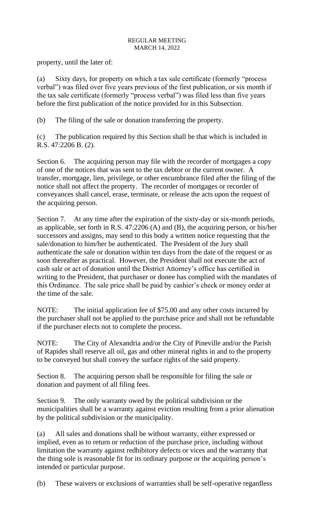property, until the later of:

(a) Sixty days, for property on which a tax sale certificate (formerly "process verbal") was filed over five years previous of the first publication, or six month if the tax sale certificate (formerly "process verbal") was filed less than five years before the first publication of the notice provided for in this Subsection.

(b) The filing of the sale or donation transferring the property.

(c) The publication required by this Section shall be that which is included in R.S. 47:2206 B. (2).

Section 6. The acquiring person may file with the recorder of mortgages a copy of one of the notices that was sent to the tax debtor or the current owner. A transfer, mortgage, lien, privilege, or other encumbrance filed after the filing of the notice shall not affect the property. The recorder of mortgages or recorder of conveyances shall cancel, erase, terminate, or release the acts upon the request of the acquiring person.

Section 7. At any time after the expiration of the sixty-day or six-month periods, as applicable, set forth in R.S. 47:2206 (A) and (B), the acquiring person, or his/her successors and assigns, may send to this body a written notice requesting that the sale/donation to him/her be authenticated. The President of the Jury shall authenticate the sale or donation within ten days from the date of the request or as soon thereafter as practical. However, the President shall not execute the act of cash sale or act of donation until the District Attorney's office has certified in writing to the President, that purchaser or donee has complied with the mandates of this Ordinance. The sale price shall be paid by cashier's check or money order at the time of the sale.

NOTE: The initial application fee of \$75.00 and any other costs incurred by the purchaser shall not be applied to the purchase price and shall not be refundable if the purchaser elects not to complete the process.

NOTE: The City of Alexandria and/or the City of Pineville and/or the Parish of Rapides shall reserve all oil, gas and other mineral rights in and to the property to be conveyed but shall convey the surface rights of the said property.

Section 8. The acquiring person shall be responsible for filing the sale or donation and payment of all filing fees.

Section 9. The only warranty owed by the political subdivision or the municipalities shall be a warranty against eviction resulting from a prior alienation by the political subdivision or the municipality.

(a) All sales and donations shall be without warranty, either expressed or implied, even as to return or reduction of the purchase price, including without limitation the warranty against redhibitory defects or vices and the warranty that the thing sole is reasonable fit for its ordinary purpose or the acquiring person's intended or particular purpose.

(b) These waivers or exclusions of warranties shall be self-operative regardless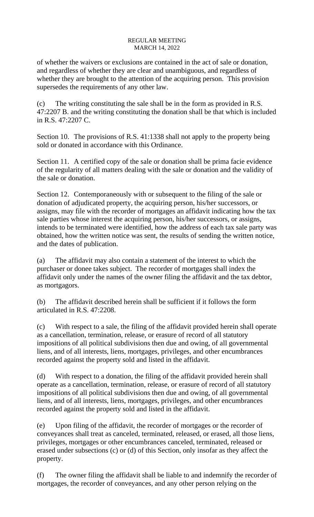of whether the waivers or exclusions are contained in the act of sale or donation, and regardless of whether they are clear and unambiguous, and regardless of whether they are brought to the attention of the acquiring person. This provision supersedes the requirements of any other law.

(c) The writing constituting the sale shall be in the form as provided in R.S. 47:2207 B. and the writing constituting the donation shall be that which is included in R.S. 47:2207 C.

Section 10. The provisions of R.S. 41:1338 shall not apply to the property being sold or donated in accordance with this Ordinance.

Section 11. A certified copy of the sale or donation shall be prima facie evidence of the regularity of all matters dealing with the sale or donation and the validity of the sale or donation.

Section 12. Contemporaneously with or subsequent to the filing of the sale or donation of adjudicated property, the acquiring person, his/her successors, or assigns, may file with the recorder of mortgages an affidavit indicating how the tax sale parties whose interest the acquiring person, his/her successors, or assigns, intends to be terminated were identified, how the address of each tax sale party was obtained, how the written notice was sent, the results of sending the written notice, and the dates of publication.

(a) The affidavit may also contain a statement of the interest to which the purchaser or donee takes subject. The recorder of mortgages shall index the affidavit only under the names of the owner filing the affidavit and the tax debtor, as mortgagors.

(b) The affidavit described herein shall be sufficient if it follows the form articulated in R.S. 47:2208.

(c) With respect to a sale, the filing of the affidavit provided herein shall operate as a cancellation, termination, release, or erasure of record of all statutory impositions of all political subdivisions then due and owing, of all governmental liens, and of all interests, liens, mortgages, privileges, and other encumbrances recorded against the property sold and listed in the affidavit.

(d) With respect to a donation, the filing of the affidavit provided herein shall operate as a cancellation, termination, release, or erasure of record of all statutory impositions of all political subdivisions then due and owing, of all governmental liens, and of all interests, liens, mortgages, privileges, and other encumbrances recorded against the property sold and listed in the affidavit.

(e) Upon filing of the affidavit, the recorder of mortgages or the recorder of conveyances shall treat as canceled, terminated, released, or erased, all those liens, privileges, mortgages or other encumbrances canceled, terminated, released or erased under subsections (c) or (d) of this Section, only insofar as they affect the property.

(f) The owner filing the affidavit shall be liable to and indemnify the recorder of mortgages, the recorder of conveyances, and any other person relying on the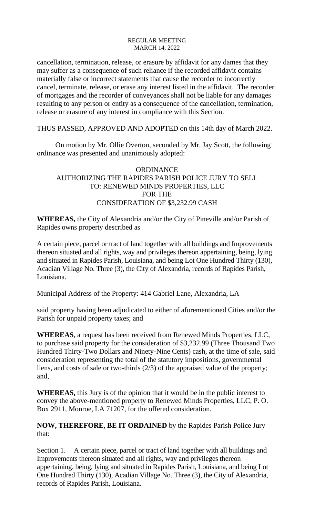cancellation, termination, release, or erasure by affidavit for any dames that they may suffer as a consequence of such reliance if the recorded affidavit contains materially false or incorrect statements that cause the recorder to incorrectly cancel, terminate, release, or erase any interest listed in the affidavit. The recorder of mortgages and the recorder of conveyances shall not be liable for any damages resulting to any person or entity as a consequence of the cancellation, termination, release or erasure of any interest in compliance with this Section.

THUS PASSED, APPROVED AND ADOPTED on this 14th day of March 2022.

On motion by Mr. Ollie Overton, seconded by Mr. Jay Scott, the following ordinance was presented and unanimously adopted:

## **ORDINANCE** AUTHORIZING THE RAPIDES PARISH POLICE JURY TO SELL TO: RENEWED MINDS PROPERTIES, LLC FOR THE CONSIDERATION OF \$3,232.99 CASH

**WHEREAS,** the City of Alexandria and/or the City of Pineville and/or Parish of Rapides owns property described as

A certain piece, parcel or tract of land together with all buildings and Improvements thereon situated and all rights, way and privileges thereon appertaining, being, lying and situated in Rapides Parish, Louisiana, and being Lot One Hundred Thirty (130), Acadian Village No. Three (3), the City of Alexandria, records of Rapides Parish, Louisiana.

Municipal Address of the Property: 414 Gabriel Lane, Alexandria, LA

said property having been adjudicated to either of aforementioned Cities and/or the Parish for unpaid property taxes; and

**WHEREAS**, a request has been received from Renewed Minds Properties, LLC, to purchase said property for the consideration of \$3,232.99 (Three Thousand Two Hundred Thirty-Two Dollars and Ninety-Nine Cents) cash, at the time of sale, said consideration representing the total of the statutory impositions, governmental liens, and costs of sale or two-thirds (2/3) of the appraised value of the property; and,

**WHEREAS,** this Jury is of the opinion that it would be in the public interest to convey the above-mentioned property to Renewed Minds Properties, LLC, P. O. Box 2911, Monroe, LA 71207, for the offered consideration.

**NOW, THEREFORE, BE IT ORDAINED** by the Rapides Parish Police Jury that:

Section 1. A certain piece, parcel or tract of land together with all buildings and Improvements thereon situated and all rights, way and privileges thereon appertaining, being, lying and situated in Rapides Parish, Louisiana, and being Lot One Hundred Thirty (130), Acadian Village No. Three (3), the City of Alexandria, records of Rapides Parish, Louisiana.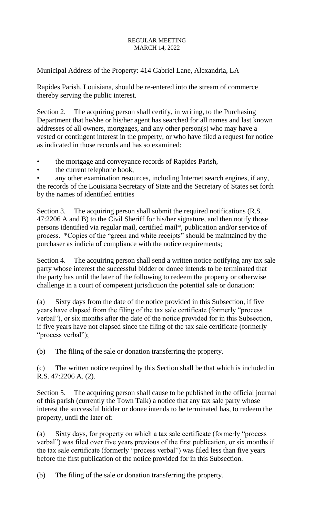Municipal Address of the Property: 414 Gabriel Lane, Alexandria, LA

Rapides Parish, Louisiana, should be re-entered into the stream of commerce thereby serving the public interest.

Section 2. The acquiring person shall certify, in writing, to the Purchasing Department that he/she or his/her agent has searched for all names and last known addresses of all owners, mortgages, and any other person(s) who may have a vested or contingent interest in the property, or who have filed a request for notice as indicated in those records and has so examined:

- the mortgage and conveyance records of Rapides Parish,
- the current telephone book,

any other examination resources, including Internet search engines, if any, the records of the Louisiana Secretary of State and the Secretary of States set forth by the names of identified entities

Section 3. The acquiring person shall submit the required notifications (R.S. 47:2206 A and B) to the Civil Sheriff for his/her signature, and then notify those persons identified via regular mail, certified mail\*, publication and/or service of process. \*Copies of the "green and white receipts" should be maintained by the purchaser as indicia of compliance with the notice requirements;

Section 4. The acquiring person shall send a written notice notifying any tax sale party whose interest the successful bidder or donee intends to be terminated that the party has until the later of the following to redeem the property or otherwise challenge in a court of competent jurisdiction the potential sale or donation:

(a) Sixty days from the date of the notice provided in this Subsection, if five years have elapsed from the filing of the tax sale certificate (formerly "process verbal"), or six months after the date of the notice provided for in this Subsection, if five years have not elapsed since the filing of the tax sale certificate (formerly "process verbal");

(b) The filing of the sale or donation transferring the property.

(c) The written notice required by this Section shall be that which is included in R.S. 47:2206 A. (2).

Section 5. The acquiring person shall cause to be published in the official journal of this parish (currently the Town Talk) a notice that any tax sale party whose interest the successful bidder or donee intends to be terminated has, to redeem the property, until the later of:

(a) Sixty days, for property on which a tax sale certificate (formerly "process verbal") was filed over five years previous of the first publication, or six months if the tax sale certificate (formerly "process verbal") was filed less than five years before the first publication of the notice provided for in this Subsection.

(b) The filing of the sale or donation transferring the property.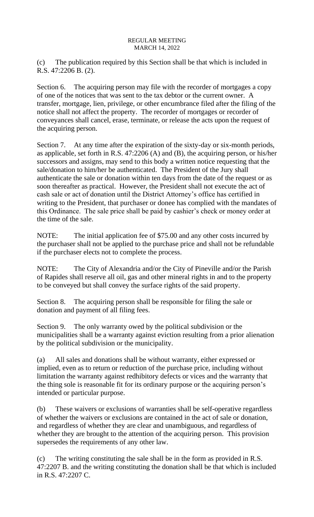(c) The publication required by this Section shall be that which is included in R.S. 47:2206 B. (2).

Section 6. The acquiring person may file with the recorder of mortgages a copy of one of the notices that was sent to the tax debtor or the current owner. A transfer, mortgage, lien, privilege, or other encumbrance filed after the filing of the notice shall not affect the property. The recorder of mortgages or recorder of conveyances shall cancel, erase, terminate, or release the acts upon the request of the acquiring person.

Section 7. At any time after the expiration of the sixty-day or six-month periods, as applicable, set forth in R.S. 47:2206 (A) and (B), the acquiring person, or his/her successors and assigns, may send to this body a written notice requesting that the sale/donation to him/her be authenticated. The President of the Jury shall authenticate the sale or donation within ten days from the date of the request or as soon thereafter as practical. However, the President shall not execute the act of cash sale or act of donation until the District Attorney's office has certified in writing to the President, that purchaser or donee has complied with the mandates of this Ordinance. The sale price shall be paid by cashier's check or money order at the time of the sale.

NOTE: The initial application fee of \$75.00 and any other costs incurred by the purchaser shall not be applied to the purchase price and shall not be refundable if the purchaser elects not to complete the process.

NOTE: The City of Alexandria and/or the City of Pineville and/or the Parish of Rapides shall reserve all oil, gas and other mineral rights in and to the property to be conveyed but shall convey the surface rights of the said property.

Section 8. The acquiring person shall be responsible for filing the sale or donation and payment of all filing fees.

Section 9. The only warranty owed by the political subdivision or the municipalities shall be a warranty against eviction resulting from a prior alienation by the political subdivision or the municipality.

(a) All sales and donations shall be without warranty, either expressed or implied, even as to return or reduction of the purchase price, including without limitation the warranty against redhibitory defects or vices and the warranty that the thing sole is reasonable fit for its ordinary purpose or the acquiring person's intended or particular purpose.

(b) These waivers or exclusions of warranties shall be self-operative regardless of whether the waivers or exclusions are contained in the act of sale or donation, and regardless of whether they are clear and unambiguous, and regardless of whether they are brought to the attention of the acquiring person. This provision supersedes the requirements of any other law.

(c) The writing constituting the sale shall be in the form as provided in R.S. 47:2207 B. and the writing constituting the donation shall be that which is included in R.S. 47:2207 C.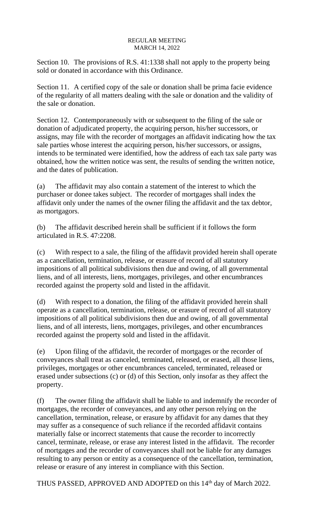Section 10. The provisions of R.S. 41:1338 shall not apply to the property being sold or donated in accordance with this Ordinance.

Section 11. A certified copy of the sale or donation shall be prima facie evidence of the regularity of all matters dealing with the sale or donation and the validity of the sale or donation.

Section 12. Contemporaneously with or subsequent to the filing of the sale or donation of adjudicated property, the acquiring person, his/her successors, or assigns, may file with the recorder of mortgages an affidavit indicating how the tax sale parties whose interest the acquiring person, his/her successors, or assigns, intends to be terminated were identified, how the address of each tax sale party was obtained, how the written notice was sent, the results of sending the written notice, and the dates of publication.

(a) The affidavit may also contain a statement of the interest to which the purchaser or donee takes subject. The recorder of mortgages shall index the affidavit only under the names of the owner filing the affidavit and the tax debtor, as mortgagors.

(b) The affidavit described herein shall be sufficient if it follows the form articulated in R.S. 47:2208.

(c) With respect to a sale, the filing of the affidavit provided herein shall operate as a cancellation, termination, release, or erasure of record of all statutory impositions of all political subdivisions then due and owing, of all governmental liens, and of all interests, liens, mortgages, privileges, and other encumbrances recorded against the property sold and listed in the affidavit.

(d) With respect to a donation, the filing of the affidavit provided herein shall operate as a cancellation, termination, release, or erasure of record of all statutory impositions of all political subdivisions then due and owing, of all governmental liens, and of all interests, liens, mortgages, privileges, and other encumbrances recorded against the property sold and listed in the affidavit.

(e) Upon filing of the affidavit, the recorder of mortgages or the recorder of conveyances shall treat as canceled, terminated, released, or erased, all those liens, privileges, mortgages or other encumbrances canceled, terminated, released or erased under subsections (c) or (d) of this Section, only insofar as they affect the property.

(f) The owner filing the affidavit shall be liable to and indemnify the recorder of mortgages, the recorder of conveyances, and any other person relying on the cancellation, termination, release, or erasure by affidavit for any dames that they may suffer as a consequence of such reliance if the recorded affidavit contains materially false or incorrect statements that cause the recorder to incorrectly cancel, terminate, release, or erase any interest listed in the affidavit. The recorder of mortgages and the recorder of conveyances shall not be liable for any damages resulting to any person or entity as a consequence of the cancellation, termination, release or erasure of any interest in compliance with this Section.

THUS PASSED, APPROVED AND ADOPTED on this 14<sup>th</sup> day of March 2022.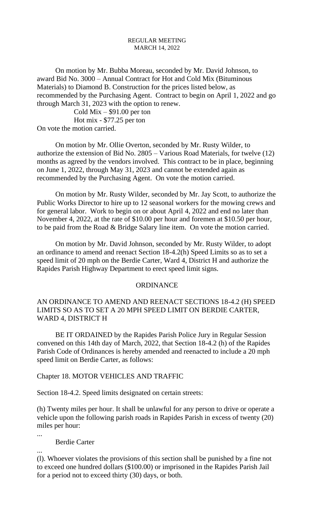On motion by Mr. Bubba Moreau, seconded by Mr. David Johnson, to award Bid No. 3000 – Annual Contract for Hot and Cold Mix (Bituminous Materials) to Diamond B. Construction for the prices listed below, as recommended by the Purchasing Agent. Contract to begin on April 1, 2022 and go through March 31, 2023 with the option to renew.

Cold Mix  $-$  \$91.00 per ton Hot mix - \$77.25 per ton On vote the motion carried.

On motion by Mr. Ollie Overton, seconded by Mr. Rusty Wilder, to authorize the extension of Bid No. 2805 – Various Road Materials, for twelve (12) months as agreed by the vendors involved. This contract to be in place, beginning on June 1, 2022, through May 31, 2023 and cannot be extended again as recommended by the Purchasing Agent. On vote the motion carried.

On motion by Mr. Rusty Wilder, seconded by Mr. Jay Scott, to authorize the Public Works Director to hire up to 12 seasonal workers for the mowing crews and for general labor. Work to begin on or about April 4, 2022 and end no later than November 4, 2022, at the rate of \$10.00 per hour and foremen at \$10.50 per hour, to be paid from the Road & Bridge Salary line item. On vote the motion carried.

On motion by Mr. David Johnson, seconded by Mr. Rusty Wilder, to adopt an ordinance to amend and reenact Section 18-4.2(h) Speed Limits so as to set a speed limit of 20 mph on the Berdie Carter, Ward 4, District H and authorize the Rapides Parish Highway Department to erect speed limit signs.

### **ORDINANCE**

AN ORDINANCE TO AMEND AND REENACT SECTIONS 18-4.2 (H) SPEED LIMITS SO AS TO SET A 20 MPH SPEED LIMIT ON BERDIE CARTER, WARD 4, DISTRICT H

BE IT ORDAINED by the Rapides Parish Police Jury in Regular Session convened on this 14th day of March, 2022, that Section 18-4.2 (h) of the Rapides Parish Code of Ordinances is hereby amended and reenacted to include a 20 mph speed limit on Berdie Carter, as follows:

Chapter 18. MOTOR VEHICLES AND TRAFFIC

Section 18-4.2. Speed limits designated on certain streets:

(h) Twenty miles per hour. It shall be unlawful for any person to drive or operate a vehicle upon the following parish roads in Rapides Parish in excess of twenty (20) miles per hour:

...

Berdie Carter

...

(l). Whoever violates the provisions of this section shall be punished by a fine not to exceed one hundred dollars (\$100.00) or imprisoned in the Rapides Parish Jail for a period not to exceed thirty (30) days, or both.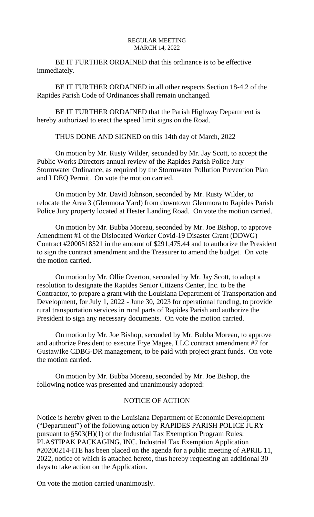BE IT FURTHER ORDAINED that this ordinance is to be effective immediately.

BE IT FURTHER ORDAINED in all other respects Section 18-4.2 of the Rapides Parish Code of Ordinances shall remain unchanged.

BE IT FURTHER ORDAINED that the Parish Highway Department is hereby authorized to erect the speed limit signs on the Road.

THUS DONE AND SIGNED on this 14th day of March, 2022

On motion by Mr. Rusty Wilder, seconded by Mr. Jay Scott, to accept the Public Works Directors annual review of the Rapides Parish Police Jury Stormwater Ordinance, as required by the Stormwater Pollution Prevention Plan and LDEQ Permit. On vote the motion carried.

On motion by Mr. David Johnson, seconded by Mr. Rusty Wilder, to relocate the Area 3 (Glenmora Yard) from downtown Glenmora to Rapides Parish Police Jury property located at Hester Landing Road. On vote the motion carried.

On motion by Mr. Bubba Moreau, seconded by Mr. Joe Bishop, to approve Amendment #1 of the Dislocated Worker Covid-19 Disaster Grant (DDWG) Contract #2000518521 in the amount of \$291,475.44 and to authorize the President to sign the contract amendment and the Treasurer to amend the budget. On vote the motion carried.

On motion by Mr. Ollie Overton, seconded by Mr. Jay Scott, to adopt a resolution to designate the Rapides Senior Citizens Center, Inc. to be the Contractor, to prepare a grant with the Louisiana Department of Transportation and Development, for July 1, 2022 - June 30, 2023 for operational funding, to provide rural transportation services in rural parts of Rapides Parish and authorize the President to sign any necessary documents. On vote the motion carried.

On motion by Mr. Joe Bishop, seconded by Mr. Bubba Moreau, to approve and authorize President to execute Frye Magee, LLC contract amendment #7 for Gustav/Ike CDBG-DR management, to be paid with project grant funds. On vote the motion carried.

On motion by Mr. Bubba Moreau, seconded by Mr. Joe Bishop, the following notice was presented and unanimously adopted:

## NOTICE OF ACTION

Notice is hereby given to the Louisiana Department of Economic Development ("Department") of the following action by RAPIDES PARISH POLICE JURY pursuant to §503(H)(1) of the Industrial Tax Exemption Program Rules: PLASTIPAK PACKAGING, INC. Industrial Tax Exemption Application #20200214-ITE has been placed on the agenda for a public meeting of APRIL 11, 2022, notice of which is attached hereto, thus hereby requesting an additional 30 days to take action on the Application.

On vote the motion carried unanimously.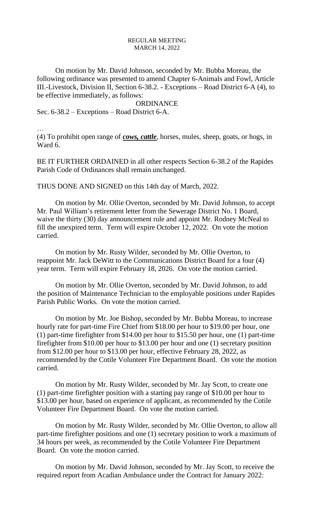On motion by Mr. David Johnson, seconded by Mr. Bubba Moreau, the following ordinance was presented to amend Chapter 6-Animals and Fowl, Article III.-Livestock, Division II, Section 6-38.2. - Exceptions – Road District 6-A (4), to be effective immediately, as follows:

#### ORDINANCE

Sec. 6-38.2 – Exceptions – Road District 6-A.

…

(4) To prohibit open range of *cows, cattle*, horses, mules, sheep, goats, or hogs, in Ward 6.

BE IT FURTHER ORDAINED in all other respects Section 6-38.2 of the Rapides Parish Code of Ordinances shall remain unchanged.

THUS DONE AND SIGNED on this 14th day of March, 2022.

On motion by Mr. Ollie Overton, seconded by Mr. David Johnson, to accept Mr. Paul William's retirement letter from the Sewerage District No. 1 Board, waive the thirty (30) day announcement rule and appoint Mr. Rodney McNeal to fill the unexpired term. Term will expire October 12, 2022. On vote the motion carried.

On motion by Mr. Rusty Wilder, seconded by Mr. Ollie Overton, to reappoint Mr. Jack DeWitt to the Communications District Board for a four (4) year term. Term will expire February 18, 2026. On vote the motion carried.

On motion by Mr. Ollie Overton, seconded by Mr. David Johnson, to add the position of Maintenance Technician to the employable positions under Rapides Parish Public Works. On vote the motion carried.

On motion by Mr. Joe Bishop, seconded by Mr. Bubba Moreau, to increase hourly rate for part-time Fire Chief from \$18.00 per hour to \$19.00 per hour, one (1) part-time firefighter from \$14.00 per hour to \$15.50 per hour, one (1) part-time firefighter from \$10.00 per hour to \$13.00 per hour and one (1) secretary position from \$12.00 per hour to \$13.00 per hour, effective February 28, 2022, as recommended by the Cotile Volunteer Fire Department Board. On vote the motion carried.

On motion by Mr. Rusty Wilder, seconded by Mr. Jay Scott, to create one (1) part-time firefighter position with a starting pay range of \$10.00 per hour to \$13.00 per hour, based on experience of applicant, as recommended by the Cotile Volunteer Fire Department Board. On vote the motion carried.

On motion by Mr. Rusty Wilder, seconded by Mr. Ollie Overton, to allow all part-time firefighter positions and one (1) secretary position to work a maximum of 34 hours per week, as recommended by the Cotile Volunteer Fire Department Board. On vote the motion carried.

On motion by Mr. David Johnson, seconded by Mr. Jay Scott, to receive the required report from Acadian Ambulance under the Contract for January 2022: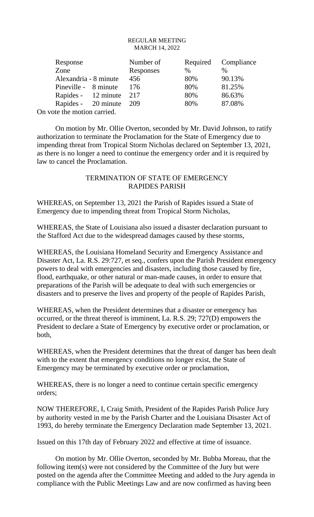| Response                    |  | Number of |      | Required Compliance |
|-----------------------------|--|-----------|------|---------------------|
| Zone                        |  | Responses | $\%$ | $\%$                |
| Alexandria - 8 minute       |  | 456       | 80%  | 90.13%              |
| Pineville - 8 minute        |  | 176       | 80%  | 81.25%              |
| Rapides - 12 minute         |  | 217       | 80%  | 86.63%              |
| Rapides - 20 minute         |  | 209       | 80%  | 87.08%              |
| On vote the motion carried. |  |           |      |                     |

On motion by Mr. Ollie Overton, seconded by Mr. David Johnson, to ratify authorization to terminate the Proclamation for the State of Emergency due to impending threat from Tropical Storm Nicholas declared on September 13, 2021, as there is no longer a need to continue the emergency order and it is required by law to cancel the Proclamation.

## TERMINATION OF STATE OF EMERGENCY RAPIDES PARISH

WHEREAS, on September 13, 2021 the Parish of Rapides issued a State of Emergency due to impending threat from Tropical Storm Nicholas,

WHEREAS, the State of Louisiana also issued a disaster declaration pursuant to the Stafford Act due to the widespread damages caused by these storms,

WHEREAS, the Louisiana Homeland Security and Emergency Assistance and Disaster Act, La. R.S. 29:727, et seq., confers upon the Parish President emergency powers to deal with emergencies and disasters, including those caused by fire, flood, earthquake, or other natural or man-made causes, in order to ensure that preparations of the Parish will be adequate to deal with such emergencies or disasters and to preserve the lives and property of the people of Rapides Parish,

WHEREAS, when the President determines that a disaster or emergency has occurred, or the threat thereof is imminent, La. R.S. 29; 727(D) empowers the President to declare a State of Emergency by executive order or proclamation, or both,

WHEREAS, when the President determines that the threat of danger has been dealt with to the extent that emergency conditions no longer exist, the State of Emergency may be terminated by executive order or proclamation,

WHEREAS, there is no longer a need to continue certain specific emergency orders;

NOW THEREFORE, I, Craig Smith, President of the Rapides Parish Police Jury by authority vested in me by the Parish Charter and the Louisiana Disaster Act of 1993, do hereby terminate the Emergency Declaration made September 13, 2021.

Issued on this 17th day of February 2022 and effective at time of issuance.

On motion by Mr. Ollie Overton, seconded by Mr. Bubba Moreau, that the following item(s) were not considered by the Committee of the Jury but were posted on the agenda after the Committee Meeting and added to the Jury agenda in compliance with the Public Meetings Law and are now confirmed as having been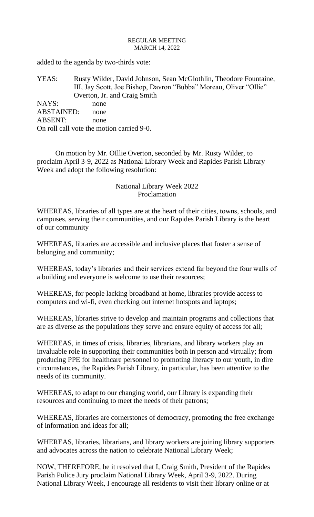added to the agenda by two-thirds vote:

YEAS: Rusty Wilder, David Johnson, Sean McGlothlin, Theodore Fountaine, III, Jay Scott, Joe Bishop, Davron "Bubba" Moreau, Oliver "Ollie" Overton, Jr. and Craig Smith NAYS: none

ABSTAINED: none ABSENT: none On roll call vote the motion carried 9-0.

On motion by Mr. OIllie Overton, seconded by Mr. Rusty Wilder, to proclaim April 3-9, 2022 as National Library Week and Rapides Parish Library Week and adopt the following resolution:

# National Library Week 2022 Proclamation

WHEREAS, libraries of all types are at the heart of their cities, towns, schools, and campuses, serving their communities, and our Rapides Parish Library is the heart of our community

WHEREAS, libraries are accessible and inclusive places that foster a sense of belonging and community;

WHEREAS, today's libraries and their services extend far beyond the four walls of a building and everyone is welcome to use their resources;

WHEREAS, for people lacking broadband at home, libraries provide access to computers and wi-fi, even checking out internet hotspots and laptops;

WHEREAS, libraries strive to develop and maintain programs and collections that are as diverse as the populations they serve and ensure equity of access for all;

WHEREAS, in times of crisis, libraries, librarians, and library workers play an invaluable role in supporting their communities both in person and virtually; from producing PPE for healthcare personnel to promoting literacy to our youth, in dire circumstances, the Rapides Parish Library, in particular, has been attentive to the needs of its community.

WHEREAS, to adapt to our changing world, our Library is expanding their resources and continuing to meet the needs of their patrons;

WHEREAS, libraries are cornerstones of democracy, promoting the free exchange of information and ideas for all;

WHEREAS, libraries, librarians, and library workers are joining library supporters and advocates across the nation to celebrate National Library Week;

NOW, THEREFORE, be it resolved that I, Craig Smith, President of the Rapides Parish Police Jury proclaim National Library Week, April 3-9, 2022. During National Library Week, I encourage all residents to visit their library online or at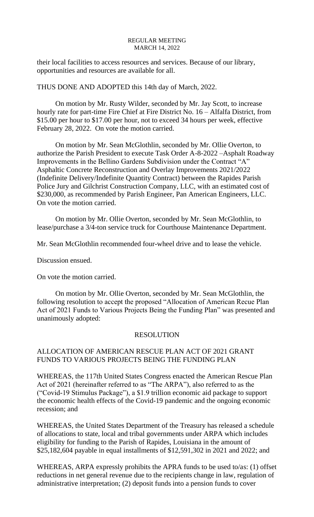their local facilities to access resources and services. Because of our library, opportunities and resources are available for all.

THUS DONE AND ADOPTED this 14th day of March, 2022.

On motion by Mr. Rusty Wilder, seconded by Mr. Jay Scott, to increase hourly rate for part-time Fire Chief at Fire District No. 16 – Alfalfa District, from \$15.00 per hour to \$17.00 per hour, not to exceed 34 hours per week, effective February 28, 2022. On vote the motion carried.

On motion by Mr. Sean McGlothlin, seconded by Mr. Ollie Overton, to authorize the Parish President to execute Task Order A-8-2022 –Asphalt Roadway Improvements in the Bellino Gardens Subdivision under the Contract "A" Asphaltic Concrete Reconstruction and Overlay Improvements 2021/2022 (Indefinite Delivery/Indefinite Quantity Contract) between the Rapides Parish Police Jury and Gilchrist Construction Company, LLC, with an estimated cost of \$230,000, as recommended by Parish Engineer, Pan American Engineers, LLC. On vote the motion carried.

On motion by Mr. Ollie Overton, seconded by Mr. Sean McGlothlin, to lease/purchase a 3/4-ton service truck for Courthouse Maintenance Department.

Mr. Sean McGlothlin recommended four-wheel drive and to lease the vehicle.

Discussion ensued.

On vote the motion carried.

On motion by Mr. Ollie Overton, seconded by Mr. Sean McGlothlin, the following resolution to accept the proposed "Allocation of American Recue Plan Act of 2021 Funds to Various Projects Being the Funding Plan" was presented and unanimously adopted:

### RESOLUTION

# ALLOCATION OF AMERICAN RESCUE PLAN ACT OF 2021 GRANT FUNDS TO VARIOUS PROJECTS BEING THE FUNDING PLAN

WHEREAS, the 117th United States Congress enacted the American Rescue Plan Act of 2021 (hereinafter referred to as "The ARPA"), also referred to as the ("Covid-19 Stimulus Package"), a \$1.9 trillion economic aid package to support the economic health effects of the Covid-19 pandemic and the ongoing economic recession; and

WHEREAS, the United States Department of the Treasury has released a schedule of allocations to state, local and tribal governments under ARPA which includes eligibility for funding to the Parish of Rapides, Louisiana in the amount of \$25,182,604 payable in equal installments of \$12,591,302 in 2021 and 2022; and

WHEREAS, ARPA expressly prohibits the APRA funds to be used to/as: (1) offset reductions in net general revenue due to the recipients change in law, regulation of administrative interpretation; (2) deposit funds into a pension funds to cover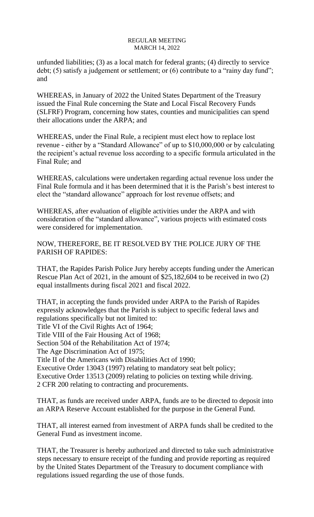unfunded liabilities; (3) as a local match for federal grants; (4) directly to service debt; (5) satisfy a judgement or settlement; or (6) contribute to a "rainy day fund"; and

WHEREAS, in January of 2022 the United States Department of the Treasury issued the Final Rule concerning the State and Local Fiscal Recovery Funds (SLFRF) Program, concerning how states, counties and municipalities can spend their allocations under the ARPA; and

WHEREAS, under the Final Rule, a recipient must elect how to replace lost revenue - either by a "Standard Allowance" of up to \$10,000,000 or by calculating the recipient's actual revenue loss according to a specific formula articulated in the Final Rule; and

WHEREAS, calculations were undertaken regarding actual revenue loss under the Final Rule formula and it has been determined that it is the Parish's best interest to elect the "standard allowance" approach for lost revenue offsets; and

WHEREAS, after evaluation of eligible activities under the ARPA and with consideration of the "standard allowance", various projects with estimated costs were considered for implementation.

NOW, THEREFORE, BE IT RESOLVED BY THE POLICE JURY OF THE PARISH OF RAPIDES:

THAT, the Rapides Parish Police Jury hereby accepts funding under the American Rescue Plan Act of 2021, in the amount of \$25,182,604 to be received in two (2) equal installments during fiscal 2021 and fiscal 2022.

THAT, in accepting the funds provided under ARPA to the Parish of Rapides expressly acknowledges that the Parish is subject to specific federal laws and regulations specifically but not limited to: Title VI of the Civil Rights Act of 1964; Title VIII of the Fair Housing Act of 1968; Section 504 of the Rehabilitation Act of 1974; The Age Discrimination Act of 1975; Title II of the Americans with Disabilities Act of 1990; Executive Order 13043 (1997) relating to mandatory seat belt policy; Executive Order 13513 (2009) relating to policies on texting while driving. 2 CFR 200 relating to contracting and procurements.

THAT, as funds are received under ARPA, funds are to be directed to deposit into an ARPA Reserve Account established for the purpose in the General Fund.

THAT, all interest earned from investment of ARPA funds shall be credited to the General Fund as investment income.

THAT, the Treasurer is hereby authorized and directed to take such administrative steps necessary to ensure receipt of the funding and provide reporting as required by the United States Department of the Treasury to document compliance with regulations issued regarding the use of those funds.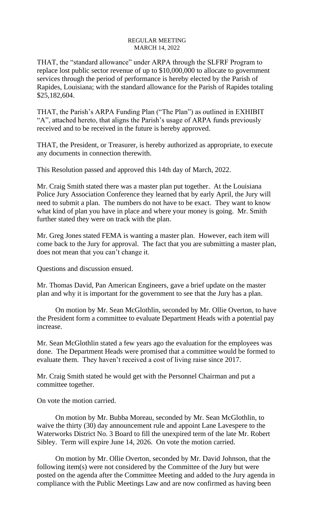THAT, the "standard allowance" under ARPA through the SLFRF Program to replace lost public sector revenue of up to \$10,000,000 to allocate to government services through the period of performance is hereby elected by the Parish of Rapides, Louisiana; with the standard allowance for the Parish of Rapides totaling \$25,182,604.

THAT, the Parish's ARPA Funding Plan ("The Plan") as outlined in EXHIBIT "A", attached hereto, that aligns the Parish's usage of ARPA funds previously received and to be received in the future is hereby approved.

THAT, the President, or Treasurer, is hereby authorized as appropriate, to execute any documents in connection therewith.

This Resolution passed and approved this 14th day of March, 2022.

Mr. Craig Smith stated there was a master plan put together. At the Louisiana Police Jury Association Conference they learned that by early April, the Jury will need to submit a plan. The numbers do not have to be exact. They want to know what kind of plan you have in place and where your money is going. Mr. Smith further stated they were on track with the plan.

Mr. Greg Jones stated FEMA is wanting a master plan. However, each item will come back to the Jury for approval. The fact that you are submitting a master plan, does not mean that you can't change it.

Questions and discussion ensued.

Mr. Thomas David, Pan American Engineers, gave a brief update on the master plan and why it is important for the government to see that the Jury has a plan.

On motion by Mr. Sean McGlothlin, seconded by Mr. Ollie Overton, to have the President form a committee to evaluate Department Heads with a potential pay increase.

Mr. Sean McGlothlin stated a few years ago the evaluation for the employees was done. The Department Heads were promised that a committee would be formed to evaluate them. They haven't received a cost of living raise since 2017.

Mr. Craig Smith stated he would get with the Personnel Chairman and put a committee together.

On vote the motion carried.

On motion by Mr. Bubba Moreau, seconded by Mr. Sean McGlothlin, to waive the thirty (30) day announcement rule and appoint Lane Lavespere to the Waterworks District No. 3 Board to fill the unexpired term of the late Mr. Robert Sibley. Term will expire June 14, 2026. On vote the motion carried.

On motion by Mr. Ollie Overton, seconded by Mr. David Johnson, that the following item(s) were not considered by the Committee of the Jury but were posted on the agenda after the Committee Meeting and added to the Jury agenda in compliance with the Public Meetings Law and are now confirmed as having been